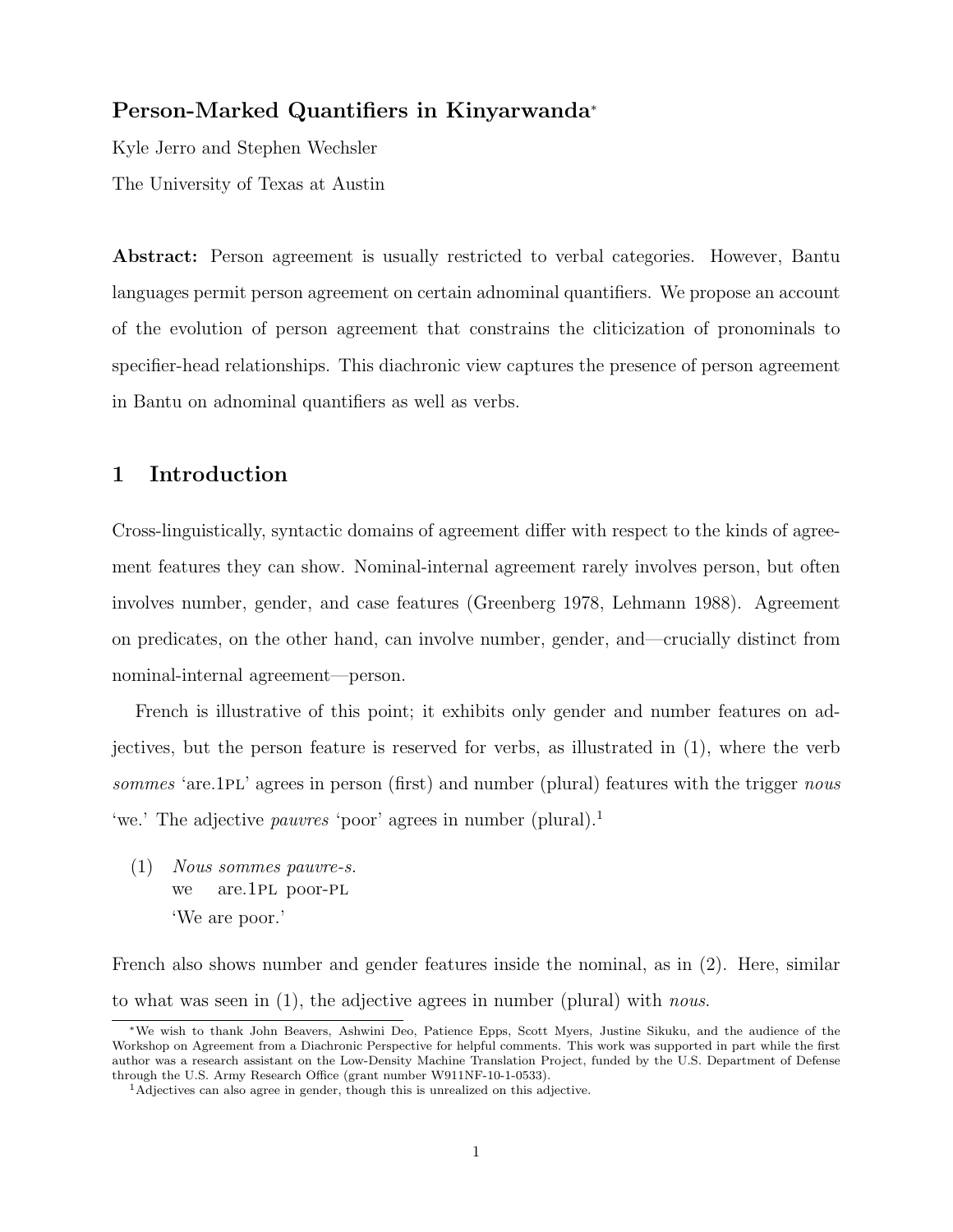# Person-Marked Quantifiers in Kinyarwanda<sup>∗</sup>

Kyle Jerro and Stephen Wechsler The University of Texas at Austin

Abstract: Person agreement is usually restricted to verbal categories. However, Bantu languages permit person agreement on certain adnominal quantifiers. We propose an account of the evolution of person agreement that constrains the cliticization of pronominals to specifier-head relationships. This diachronic view captures the presence of person agreement in Bantu on adnominal quantifiers as well as verbs.

## 1 Introduction

Cross-linguistically, syntactic domains of agreement differ with respect to the kinds of agreement features they can show. Nominal-internal agreement rarely involves person, but often involves number, gender, and case features (Greenberg 1978, Lehmann 1988). Agreement on predicates, on the other hand, can involve number, gender, and—crucially distinct from nominal-internal agreement—person.

French is illustrative of this point; it exhibits only gender and number features on adjectives, but the person feature is reserved for verbs, as illustrated in (1), where the verb sommes 'are.1PL' agrees in person (first) and number (plural) features with the trigger nous 'we.' The adjective *pauvres* 'poor' agrees in number (plural).<sup>1</sup>

(1) Nous sommes pauvre-s. we are.1pl poor-pl 'We are poor.'

French also shows number and gender features inside the nominal, as in (2). Here, similar to what was seen in (1), the adjective agrees in number (plural) with nous.

<sup>∗</sup>We wish to thank John Beavers, Ashwini Deo, Patience Epps, Scott Myers, Justine Sikuku, and the audience of the Workshop on Agreement from a Diachronic Perspective for helpful comments. This work was supported in part while the first author was a research assistant on the Low-Density Machine Translation Project, funded by the U.S. Department of Defense through the U.S. Army Research Office (grant number W911NF-10-1-0533).

<sup>1</sup>Adjectives can also agree in gender, though this is unrealized on this adjective.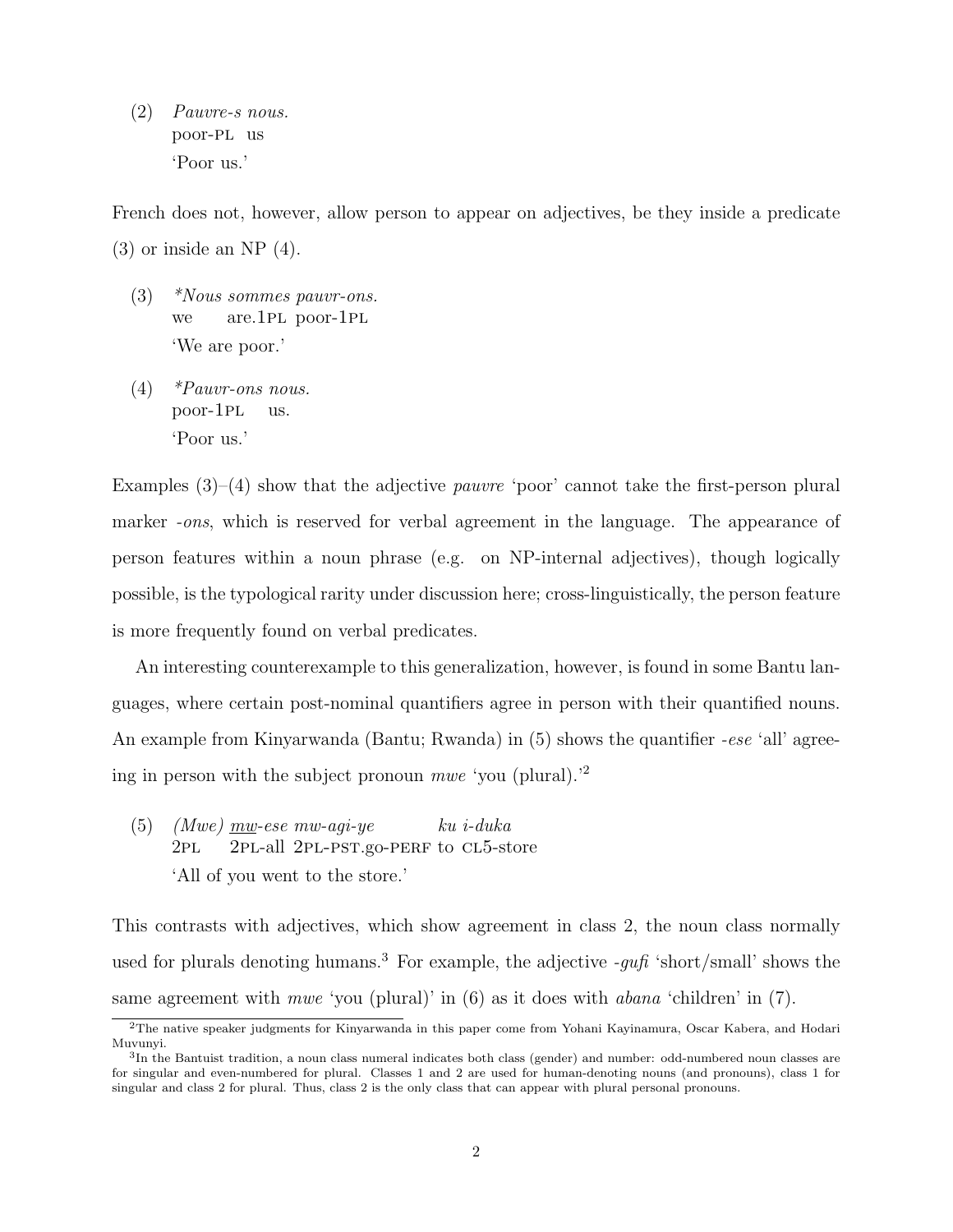(2) Pauvre-s nous. poor-pl us 'Poor us.'

French does not, however, allow person to appear on adjectives, be they inside a predicate  $(3)$  or inside an NP  $(4)$ .

- (3) \*Nous sommes pauvr-ons. we are.1pl poor-1pl 'We are poor.'
- (4) \*Pauvr-ons nous. poor-1pl us. 'Poor us.'

Examples  $(3)$ – $(4)$  show that the adjective *pauvre* 'poor' cannot take the first-person plural marker *-ons*, which is reserved for verbal agreement in the language. The appearance of person features within a noun phrase (e.g. on NP-internal adjectives), though logically possible, is the typological rarity under discussion here; cross-linguistically, the person feature is more frequently found on verbal predicates.

An interesting counterexample to this generalization, however, is found in some Bantu languages, where certain post-nominal quantifiers agree in person with their quantified nouns. An example from Kinyarwanda (Bantu; Rwanda) in (5) shows the quantifier *-ese* 'all' agreeing in person with the subject pronoun mwe 'you (plural).'<sup>2</sup>

(5) (Mwe)  $\overline{mw}$ -ese mw-agi-ye 2pl 2PL-all 2PL-PST.go-PERF to CL5-store ku i-duka 'All of you went to the store.'

This contrasts with adjectives, which show agreement in class 2, the noun class normally used for plurals denoting humans.<sup>3</sup> For example, the adjective  $-qu\hat{u}$  'short/small' shows the same agreement with *mwe* 'you (plural)' in (6) as it does with *abana* 'children' in (7).

<sup>2</sup>The native speaker judgments for Kinyarwanda in this paper come from Yohani Kayinamura, Oscar Kabera, and Hodari Muvunyi.

<sup>&</sup>lt;sup>3</sup>In the Bantuist tradition, a noun class numeral indicates both class (gender) and number: odd-numbered noun classes are for singular and even-numbered for plural. Classes 1 and 2 are used for human-denoting nouns (and pronouns), class 1 for singular and class 2 for plural. Thus, class 2 is the only class that can appear with plural personal pronouns.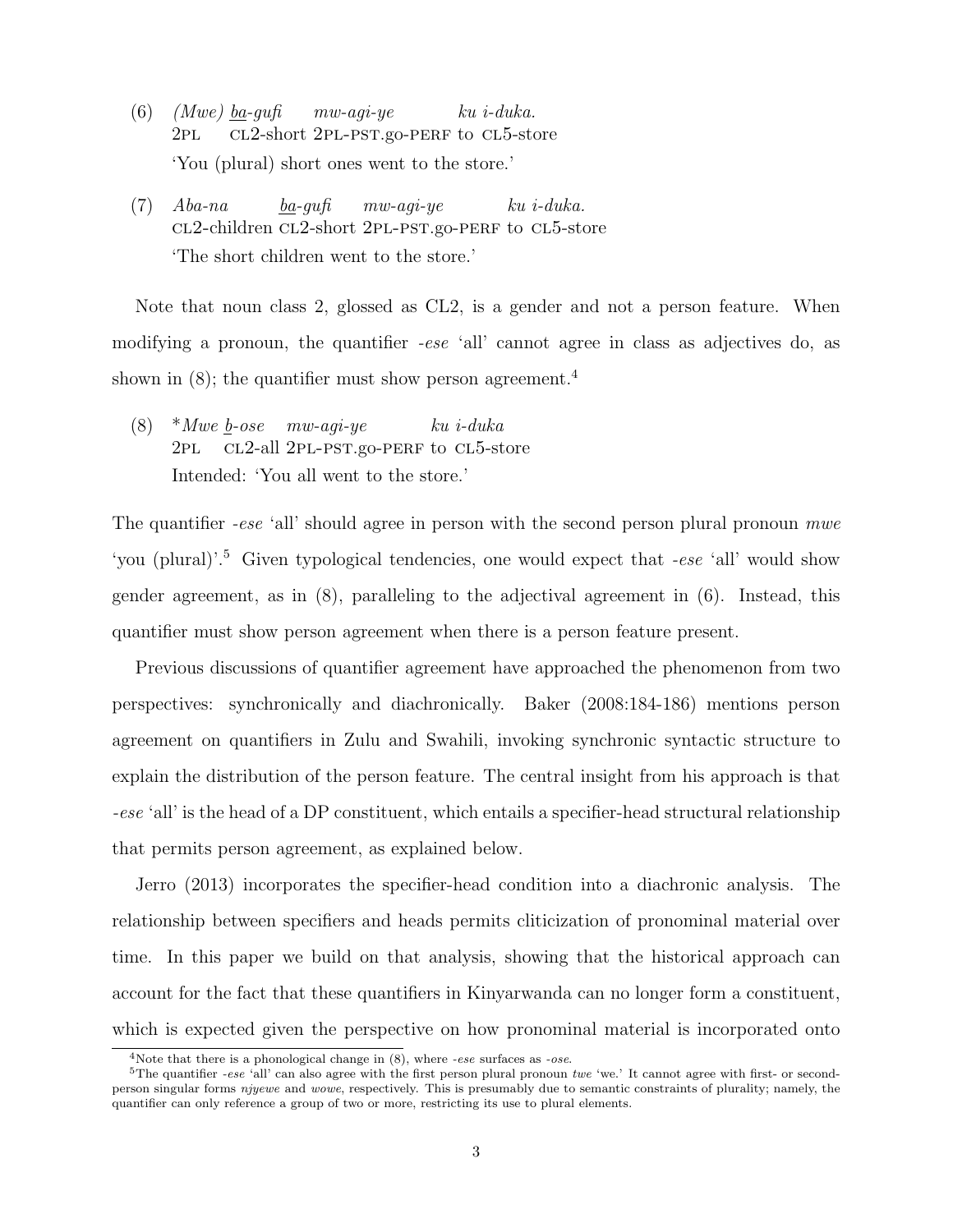- (6)  $(Mwe)$  <u>ba</u>-gufi  $2PL$ cl2-short 2pl-pst.go-perf to cl5-store mw-agi-ye ku i-duka. 'You (plural) short ones went to the store.'
- (7) Aba-na cl2-children cl2-short 2pl-pst.go-perf to cl5-store ba-gufi mw-agi-ye ku i-duka. 'The short children went to the store.'

Note that noun class 2, glossed as CL2, is a gender and not a person feature. When modifying a pronoun, the quantifier -ese 'all' cannot agree in class as adjectives do, as shown in  $(8)$ ; the quantifier must show person agreement.<sup>4</sup>

(8)  $*Mwe \underline{b} - ose \newline m w - agi - ye$  $2PL$ cl2-all 2pl-pst.go-perf to cl5-store ku i-duka Intended: 'You all went to the store.'

The quantifier -ese 'all' should agree in person with the second person plural pronoun mwe 'you (plural)'.<sup>5</sup> Given typological tendencies, one would expect that -ese 'all' would show gender agreement, as in (8), paralleling to the adjectival agreement in (6). Instead, this quantifier must show person agreement when there is a person feature present.

Previous discussions of quantifier agreement have approached the phenomenon from two perspectives: synchronically and diachronically. Baker (2008:184-186) mentions person agreement on quantifiers in Zulu and Swahili, invoking synchronic syntactic structure to explain the distribution of the person feature. The central insight from his approach is that -ese 'all' is the head of a DP constituent, which entails a specifier-head structural relationship that permits person agreement, as explained below.

Jerro (2013) incorporates the specifier-head condition into a diachronic analysis. The relationship between specifiers and heads permits cliticization of pronominal material over time. In this paper we build on that analysis, showing that the historical approach can account for the fact that these quantifiers in Kinyarwanda can no longer form a constituent, which is expected given the perspective on how pronominal material is incorporated onto

<sup>&</sup>lt;sup>4</sup>Note that there is a phonological change in  $(8)$ , where *-ese* surfaces as *-ose*.

 $5$ The quantifier -ese 'all' can also agree with the first person plural pronoun twe 'we.' It cannot agree with first- or secondperson singular forms njyewe and wowe, respectively. This is presumably due to semantic constraints of plurality; namely, the quantifier can only reference a group of two or more, restricting its use to plural elements.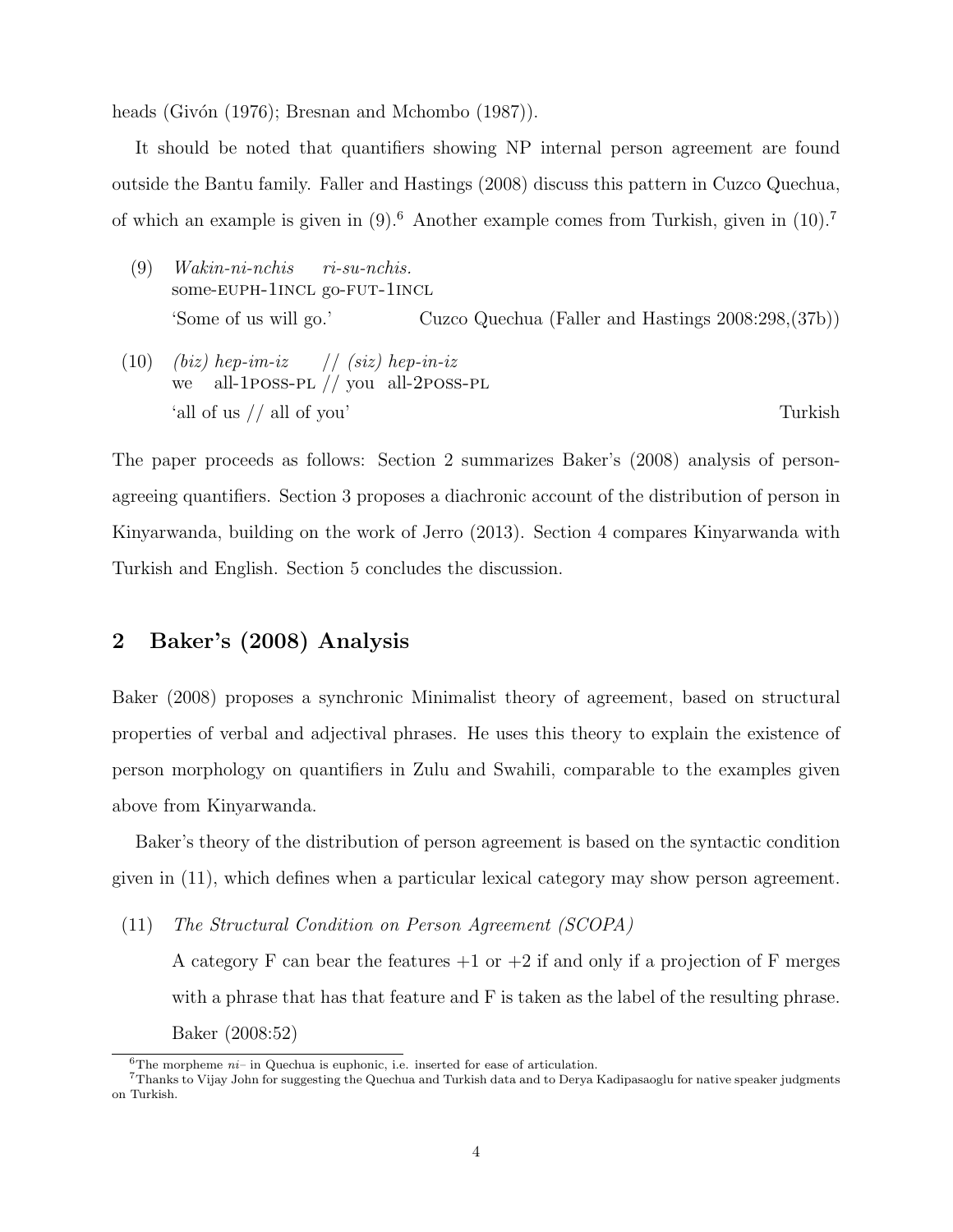heads (Givón (1976); Bresnan and Mchombo (1987)).

It should be noted that quantifiers showing NP internal person agreement are found outside the Bantu family. Faller and Hastings (2008) discuss this pattern in Cuzco Quechua, of which an example is given in  $(9)$ .<sup>6</sup> Another example comes from Turkish, given in  $(10)$ .<sup>7</sup>

- (9) Wakin-ni-nchis some-EUPH-1INCL go-FUT-1INCL ri-su-nchis. 'Some of us will go.' Cuzco Quechua (Faller and Hastings 2008:298,(37b))
- $(10)$   $(biz)$  hep-im-iz we all-1poss-pl // you all-2poss-pl // (siz) hep-in-iz 'all of us // all of you' Turkish

The paper proceeds as follows: Section 2 summarizes Baker's (2008) analysis of personagreeing quantifiers. Section 3 proposes a diachronic account of the distribution of person in Kinyarwanda, building on the work of Jerro (2013). Section 4 compares Kinyarwanda with Turkish and English. Section 5 concludes the discussion.

# 2 Baker's (2008) Analysis

Baker (2008) proposes a synchronic Minimalist theory of agreement, based on structural properties of verbal and adjectival phrases. He uses this theory to explain the existence of person morphology on quantifiers in Zulu and Swahili, comparable to the examples given above from Kinyarwanda.

Baker's theory of the distribution of person agreement is based on the syntactic condition given in (11), which defines when a particular lexical category may show person agreement.

(11) The Structural Condition on Person Agreement (SCOPA)

A category F can bear the features  $+1$  or  $+2$  if and only if a projection of F merges with a phrase that has that feature and F is taken as the label of the resulting phrase. Baker (2008:52)

<sup>&</sup>lt;sup>6</sup>The morpheme  $ni$ – in Quechua is euphonic, i.e. inserted for ease of articulation.

<sup>7</sup>Thanks to Vijay John for suggesting the Quechua and Turkish data and to Derya Kadipasaoglu for native speaker judgments on Turkish.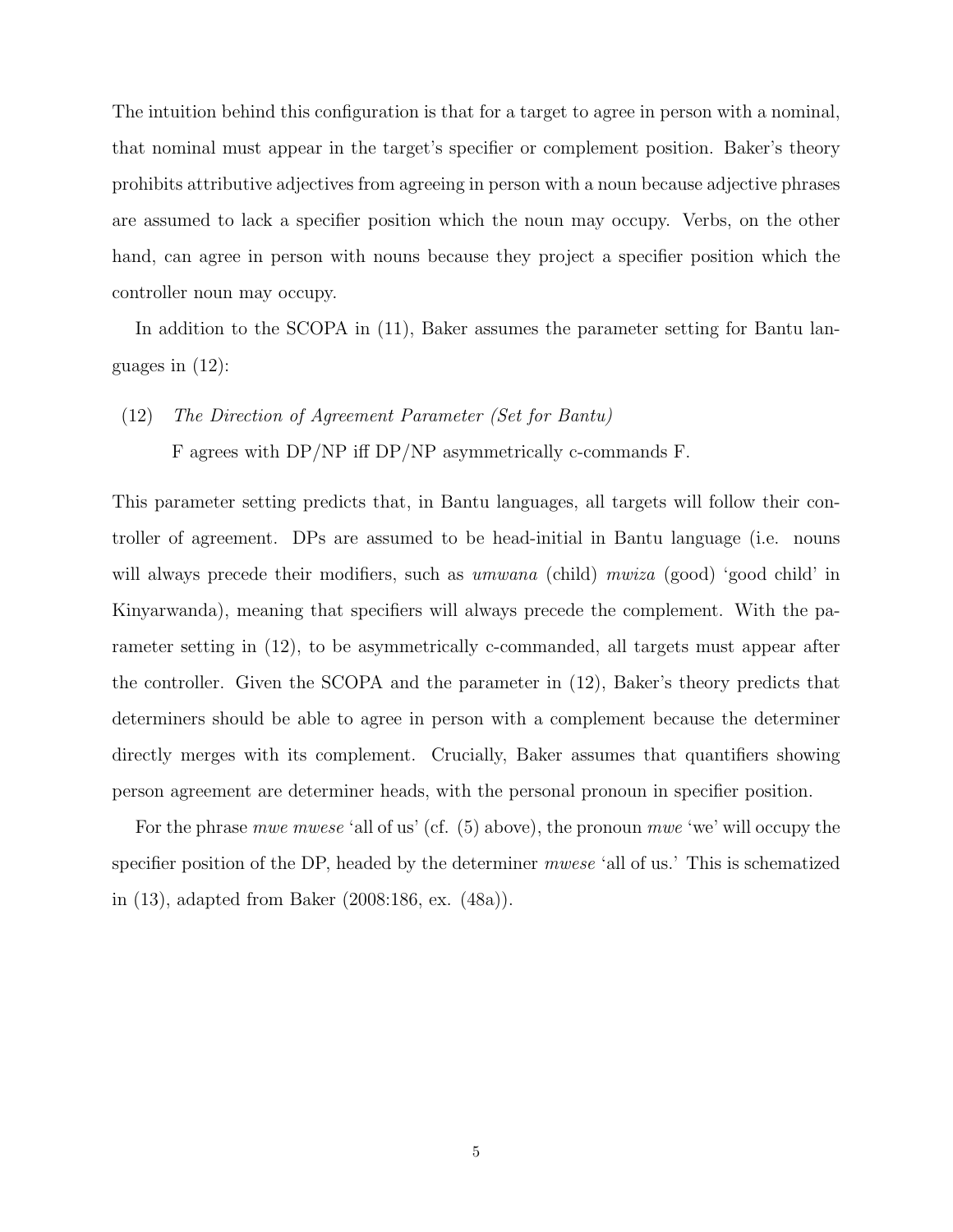The intuition behind this configuration is that for a target to agree in person with a nominal, that nominal must appear in the target's specifier or complement position. Baker's theory prohibits attributive adjectives from agreeing in person with a noun because adjective phrases are assumed to lack a specifier position which the noun may occupy. Verbs, on the other hand, can agree in person with nouns because they project a specifier position which the controller noun may occupy.

In addition to the SCOPA in (11), Baker assumes the parameter setting for Bantu languages in (12):

(12) The Direction of Agreement Parameter (Set for Bantu)

F agrees with DP/NP iff DP/NP asymmetrically c-commands F.

This parameter setting predicts that, in Bantu languages, all targets will follow their controller of agreement. DPs are assumed to be head-initial in Bantu language (i.e. nouns will always precede their modifiers, such as *umwana* (child) mwiza (good) 'good child' in Kinyarwanda), meaning that specifiers will always precede the complement. With the parameter setting in (12), to be asymmetrically c-commanded, all targets must appear after the controller. Given the SCOPA and the parameter in (12), Baker's theory predicts that determiners should be able to agree in person with a complement because the determiner directly merges with its complement. Crucially, Baker assumes that quantifiers showing person agreement are determiner heads, with the personal pronoun in specifier position.

For the phrase mwe mwese 'all of us' (cf. (5) above), the pronoun mwe 'we' will occupy the specifier position of the DP, headed by the determiner mwese 'all of us.' This is schematized in (13), adapted from Baker (2008:186, ex. (48a)).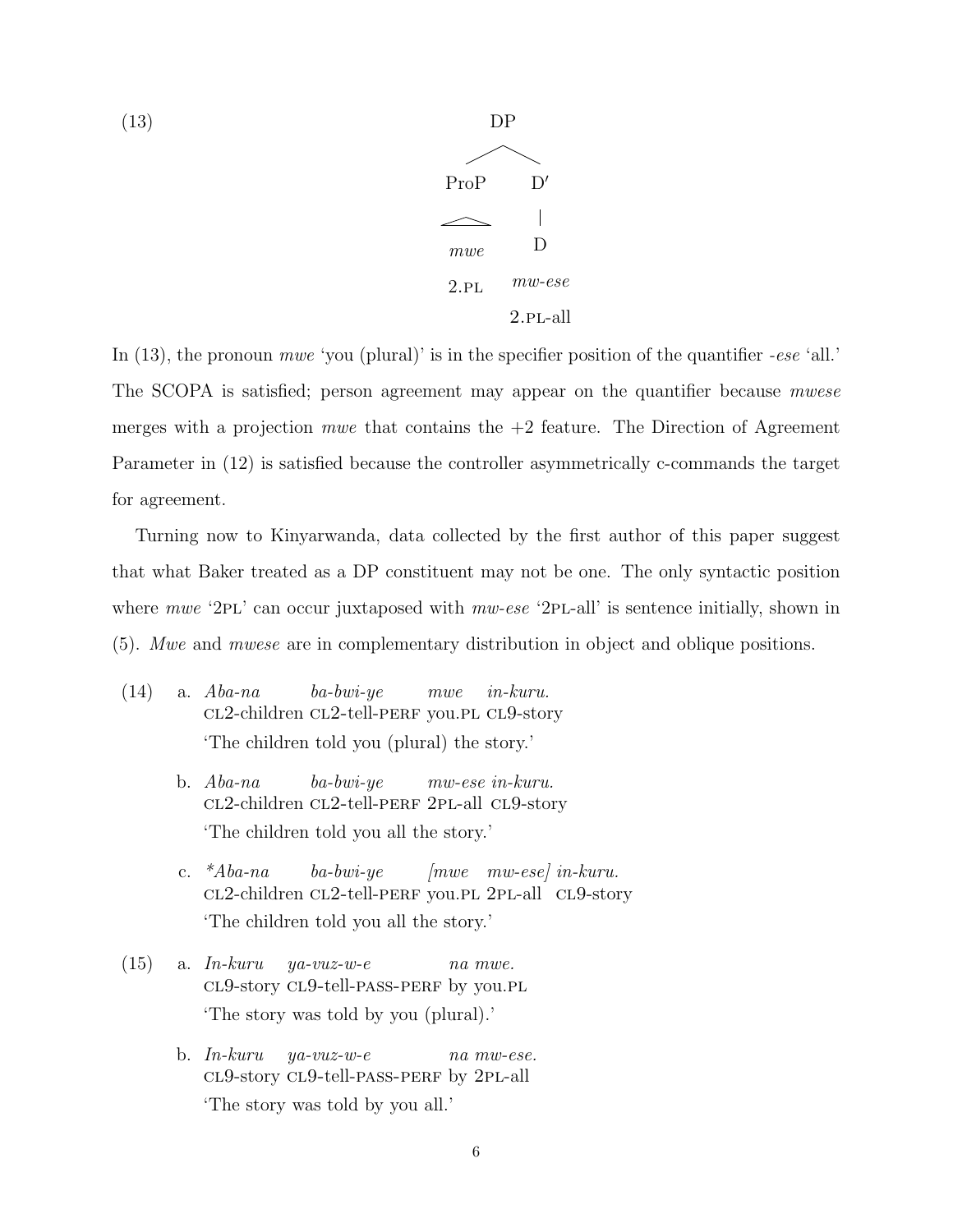



In  $(13)$ , the pronoun *mwe* 'you (plural)' is in the specifier position of the quantifier -ese 'all.' The SCOPA is satisfied; person agreement may appear on the quantifier because *mwese* merges with a projection *mwe* that contains the  $+2$  feature. The Direction of Agreement Parameter in (12) is satisfied because the controller asymmetrically c-commands the target for agreement.

Turning now to Kinyarwanda, data collected by the first author of this paper suggest that what Baker treated as a DP constituent may not be one. The only syntactic position where  $mwe$  '2PL' can occur juxtaposed with  $mw-ese$  '2PL-all' is sentence initially, shown in (5). Mwe and mwese are in complementary distribution in object and oblique positions.

- (14) a. Aba-na cl2-children cl2-tell-perf you.pl cl9-story ba-bwi-ye mwe in-kuru. 'The children told you (plural) the story.'
	- b. Aba-na cl2-children cl2-tell-perf 2pl-all cl9-story ba-bwi-ye mw-ese in-kuru. 'The children told you all the story.'
	- c. \*Aba-na CL2-children CL2-tell-PERF you.PL 2PL-all CL9-story ba-bwi-ye [mwe mw-ese] in-kuru. 'The children told you all the story.'
- $(15)$  a. In-kuru cl9-story cl9-tell-pass-perf by you.pl ya-vuz-w-e na mwe. 'The story was told by you (plural).'
	- b. In-kuru cl9-story cl9-tell-pass-perf by 2pl-all ya-vuz-w-e na mw-ese. 'The story was told by you all.'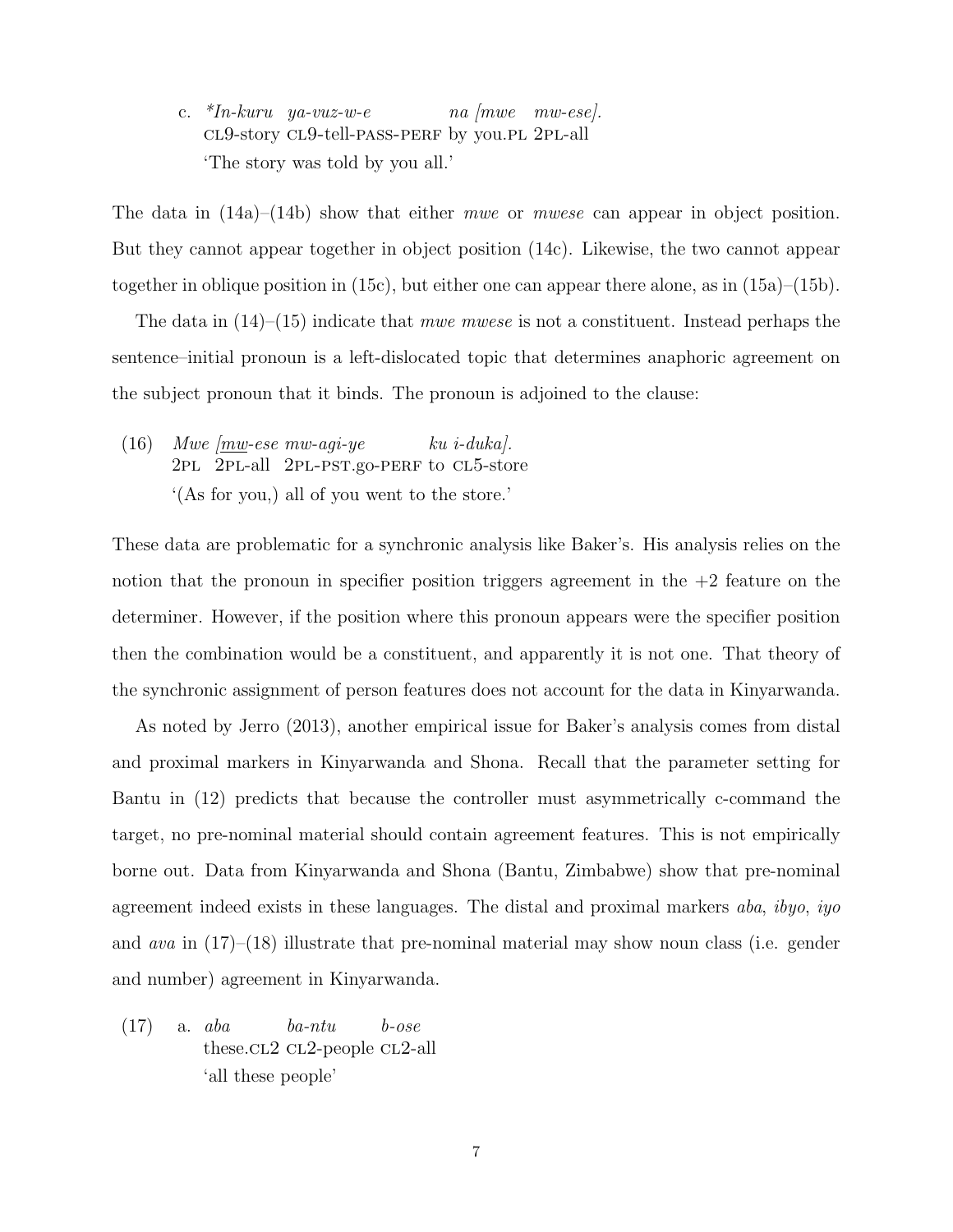c. \*In-kuru ya-vuz-w-e cl9-story cl9-tell-pass-perf by you.pl 2pl-all na [mwe mw-ese]. 'The story was told by you all.'

The data in  $(14a)$ – $(14b)$  show that either *mwe* or *mwese* can appear in object position. But they cannot appear together in object position (14c). Likewise, the two cannot appear together in oblique position in (15c), but either one can appear there alone, as in (15a)–(15b).

The data in  $(14)$ – $(15)$  indicate that *mwe mwese* is not a constituent. Instead perhaps the sentence–initial pronoun is a left-dislocated topic that determines anaphoric agreement on the subject pronoun that it binds. The pronoun is adjoined to the clause:

(16) Mwe  $\boxed{mw}$ -ese mw-agi-ye 2pl 2pl-all 2pl-pst.go-perf to cl5-store ku i-duka]. '(As for you,) all of you went to the store.'

These data are problematic for a synchronic analysis like Baker's. His analysis relies on the notion that the pronoun in specifier position triggers agreement in the  $+2$  feature on the determiner. However, if the position where this pronoun appears were the specifier position then the combination would be a constituent, and apparently it is not one. That theory of the synchronic assignment of person features does not account for the data in Kinyarwanda.

As noted by Jerro (2013), another empirical issue for Baker's analysis comes from distal and proximal markers in Kinyarwanda and Shona. Recall that the parameter setting for Bantu in (12) predicts that because the controller must asymmetrically c-command the target, no pre-nominal material should contain agreement features. This is not empirically borne out. Data from Kinyarwanda and Shona (Bantu, Zimbabwe) show that pre-nominal agreement indeed exists in these languages. The distal and proximal markers aba, ibyo, iyo and ava in (17)–(18) illustrate that pre-nominal material may show noun class (i.e. gender and number) agreement in Kinyarwanda.

(17) a. aba these.cl2 cl2-people cl2-all ba-ntu b-ose 'all these people'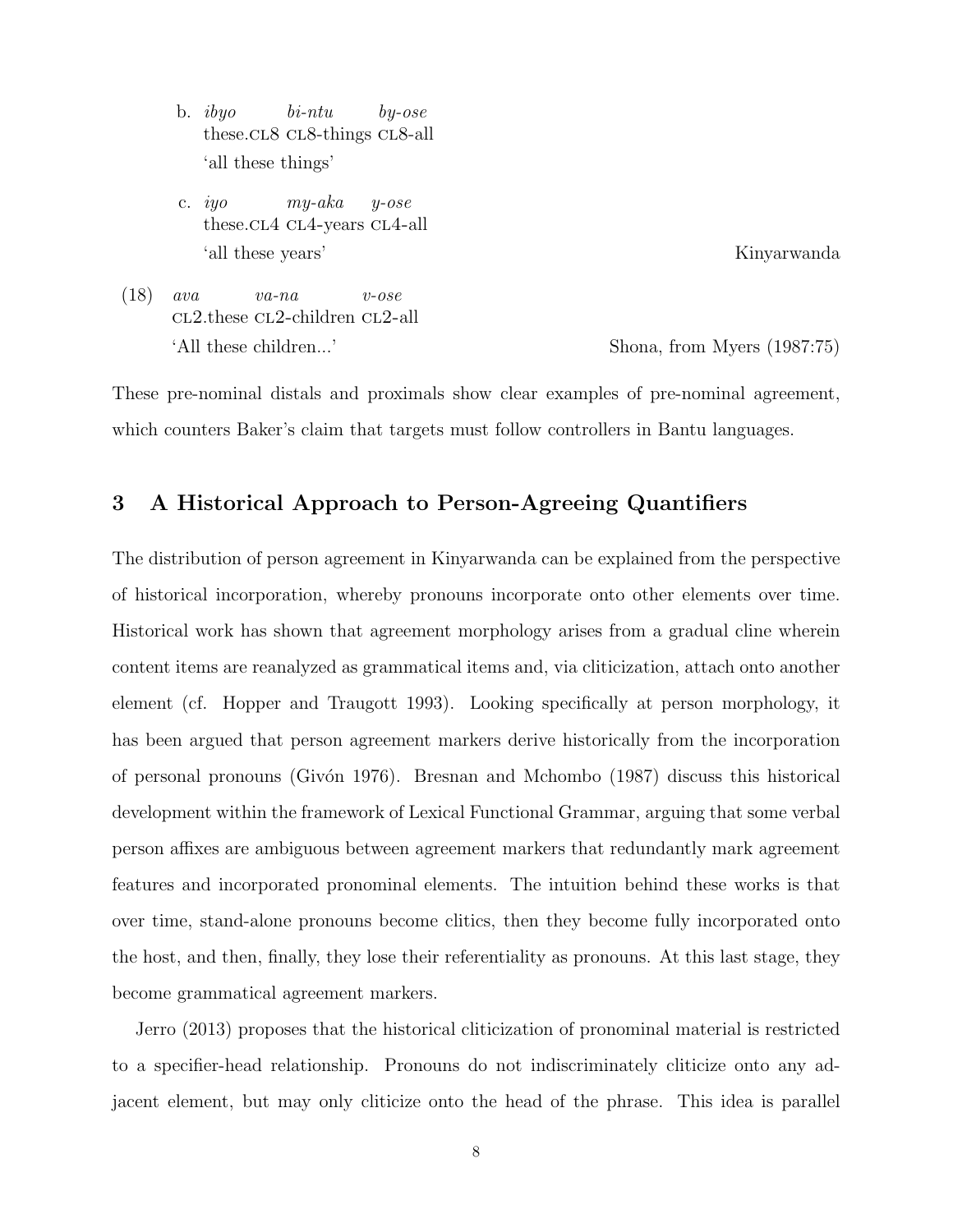- b. ibyo these.cl8 cl8-things cl8-all bi-ntu by-ose 'all these things'
- c. iyo these.cl4 cl4-years cl4-all my-aka y-ose 'all these years' Kinyarwanda
- (18) ava cl2.these cl2-children cl2-all va-na v-ose 'All these children...' Shona, from Myers (1987:75)

These pre-nominal distals and proximals show clear examples of pre-nominal agreement, which counters Baker's claim that targets must follow controllers in Bantu languages.

## 3 A Historical Approach to Person-Agreeing Quantifiers

The distribution of person agreement in Kinyarwanda can be explained from the perspective of historical incorporation, whereby pronouns incorporate onto other elements over time. Historical work has shown that agreement morphology arises from a gradual cline wherein content items are reanalyzed as grammatical items and, via cliticization, attach onto another element (cf. Hopper and Traugott 1993). Looking specifically at person morphology, it has been argued that person agreement markers derive historically from the incorporation of personal pronouns (Giv´on 1976). Bresnan and Mchombo (1987) discuss this historical development within the framework of Lexical Functional Grammar, arguing that some verbal person affixes are ambiguous between agreement markers that redundantly mark agreement features and incorporated pronominal elements. The intuition behind these works is that over time, stand-alone pronouns become clitics, then they become fully incorporated onto the host, and then, finally, they lose their referentiality as pronouns. At this last stage, they become grammatical agreement markers.

Jerro (2013) proposes that the historical cliticization of pronominal material is restricted to a specifier-head relationship. Pronouns do not indiscriminately cliticize onto any adjacent element, but may only cliticize onto the head of the phrase. This idea is parallel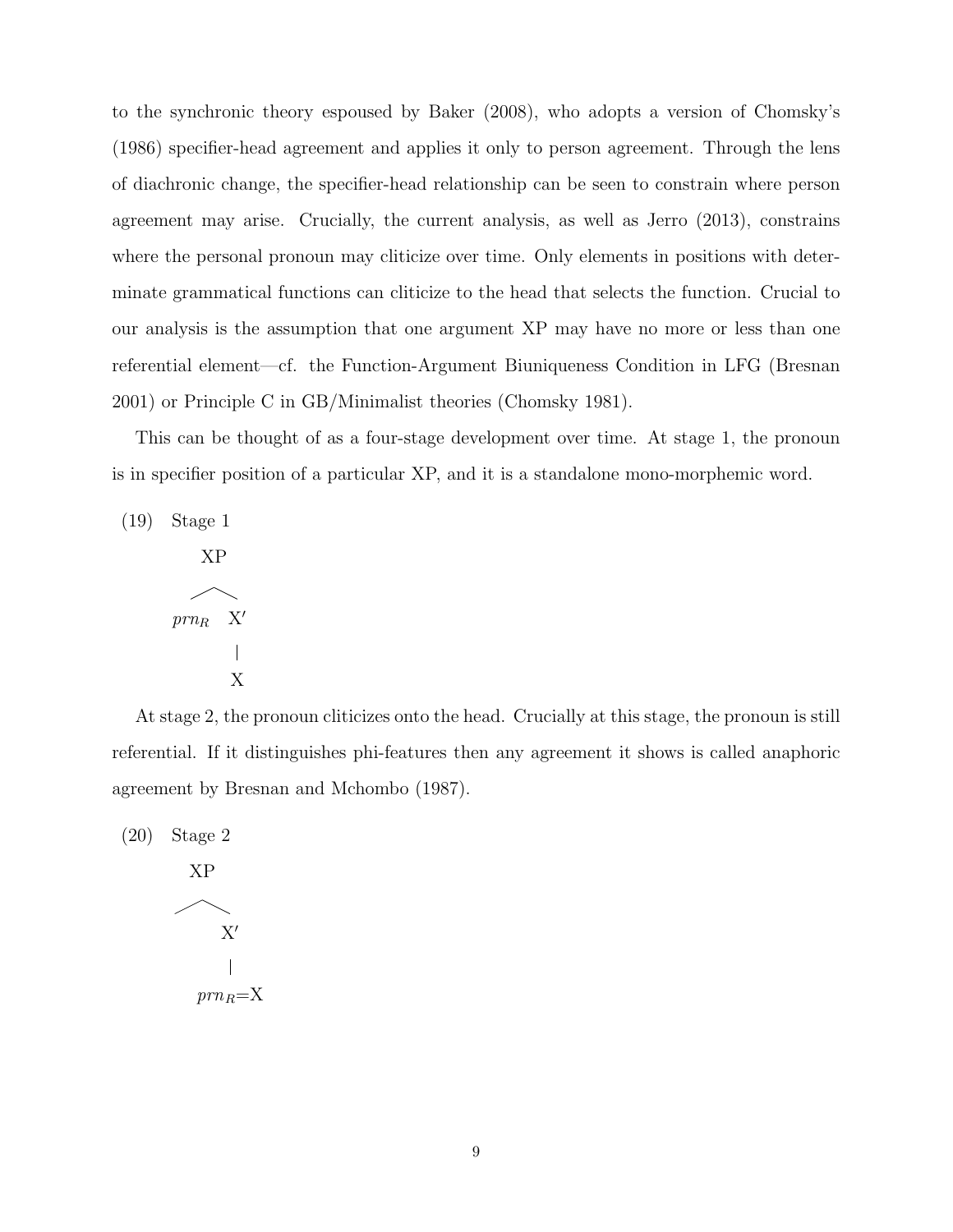to the synchronic theory espoused by Baker (2008), who adopts a version of Chomsky's (1986) specifier-head agreement and applies it only to person agreement. Through the lens of diachronic change, the specifier-head relationship can be seen to constrain where person agreement may arise. Crucially, the current analysis, as well as Jerro (2013), constrains where the personal pronoun may cliticize over time. Only elements in positions with determinate grammatical functions can cliticize to the head that selects the function. Crucial to our analysis is the assumption that one argument XP may have no more or less than one referential element—cf. the Function-Argument Biuniqueness Condition in LFG (Bresnan 2001) or Principle C in GB/Minimalist theories (Chomsky 1981).

This can be thought of as a four-stage development over time. At stage 1, the pronoun is in specifier position of a particular XP, and it is a standalone mono-morphemic word.

(19) Stage 1 XP  $prn_R$  X'  $\overline{\phantom{a}}$ X

At stage 2, the pronoun cliticizes onto the head. Crucially at this stage, the pronoun is still referential. If it distinguishes phi-features then any agreement it shows is called anaphoric agreement by Bresnan and Mchombo (1987).

(20) Stage 2 XP  $\mathbf{X}^\prime$  $prn_R = X$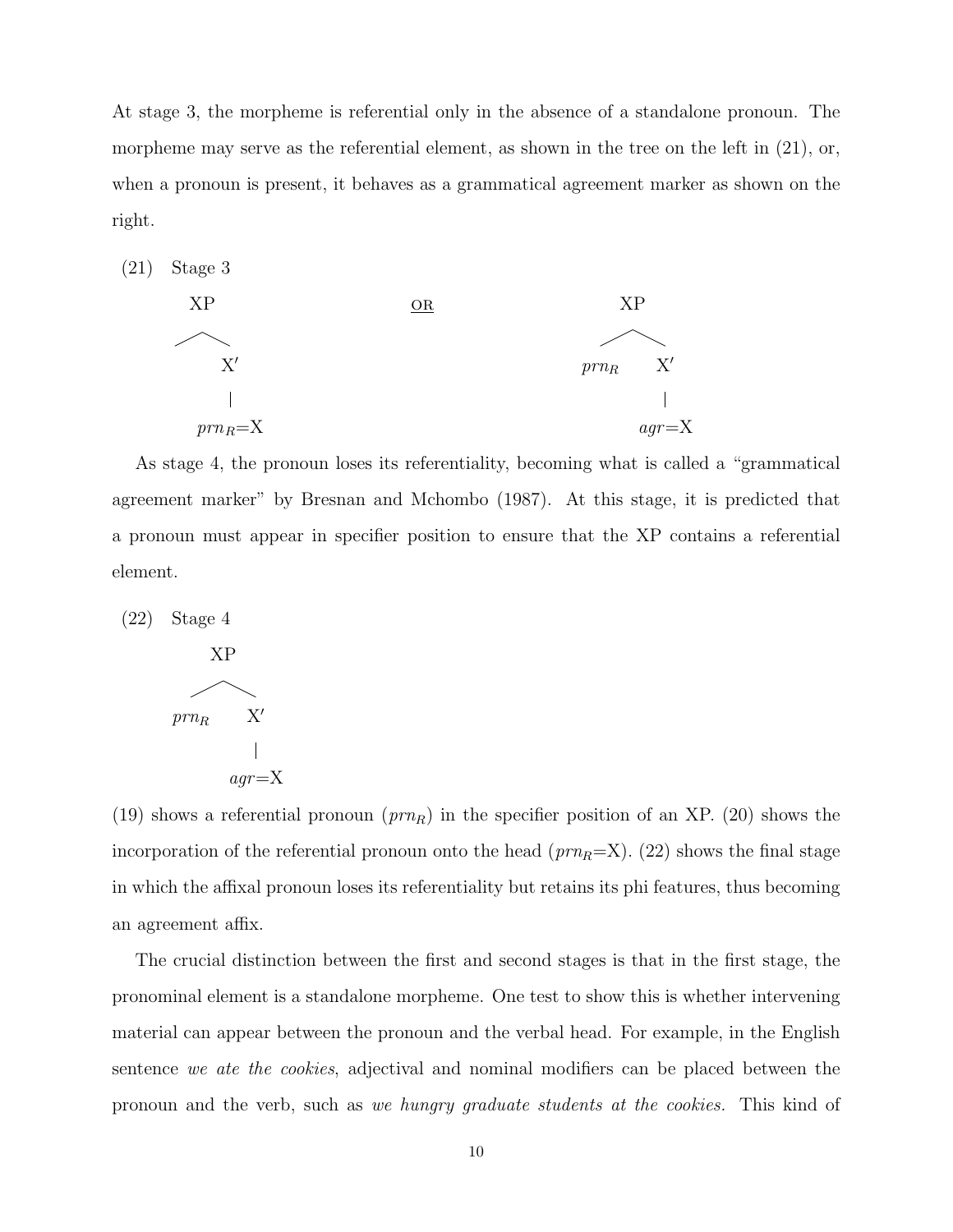At stage 3, the morpheme is referential only in the absence of a standalone pronoun. The morpheme may serve as the referential element, as shown in the tree on the left in  $(21)$ , or, when a pronoun is present, it behaves as a grammatical agreement marker as shown on the right.



As stage 4, the pronoun loses its referentiality, becoming what is called a "grammatical agreement marker" by Bresnan and Mchombo (1987). At this stage, it is predicted that a pronoun must appear in specifier position to ensure that the XP contains a referential element.



(19) shows a referential pronoun  $(prn_R)$  in the specifier position of an XP. (20) shows the incorporation of the referential pronoun onto the head  $(prn_R=X)$ . (22) shows the final stage in which the affixal pronoun loses its referentiality but retains its phi features, thus becoming an agreement affix.

The crucial distinction between the first and second stages is that in the first stage, the pronominal element is a standalone morpheme. One test to show this is whether intervening material can appear between the pronoun and the verbal head. For example, in the English sentence we ate the cookies, adjectival and nominal modifiers can be placed between the pronoun and the verb, such as we hungry graduate students at the cookies. This kind of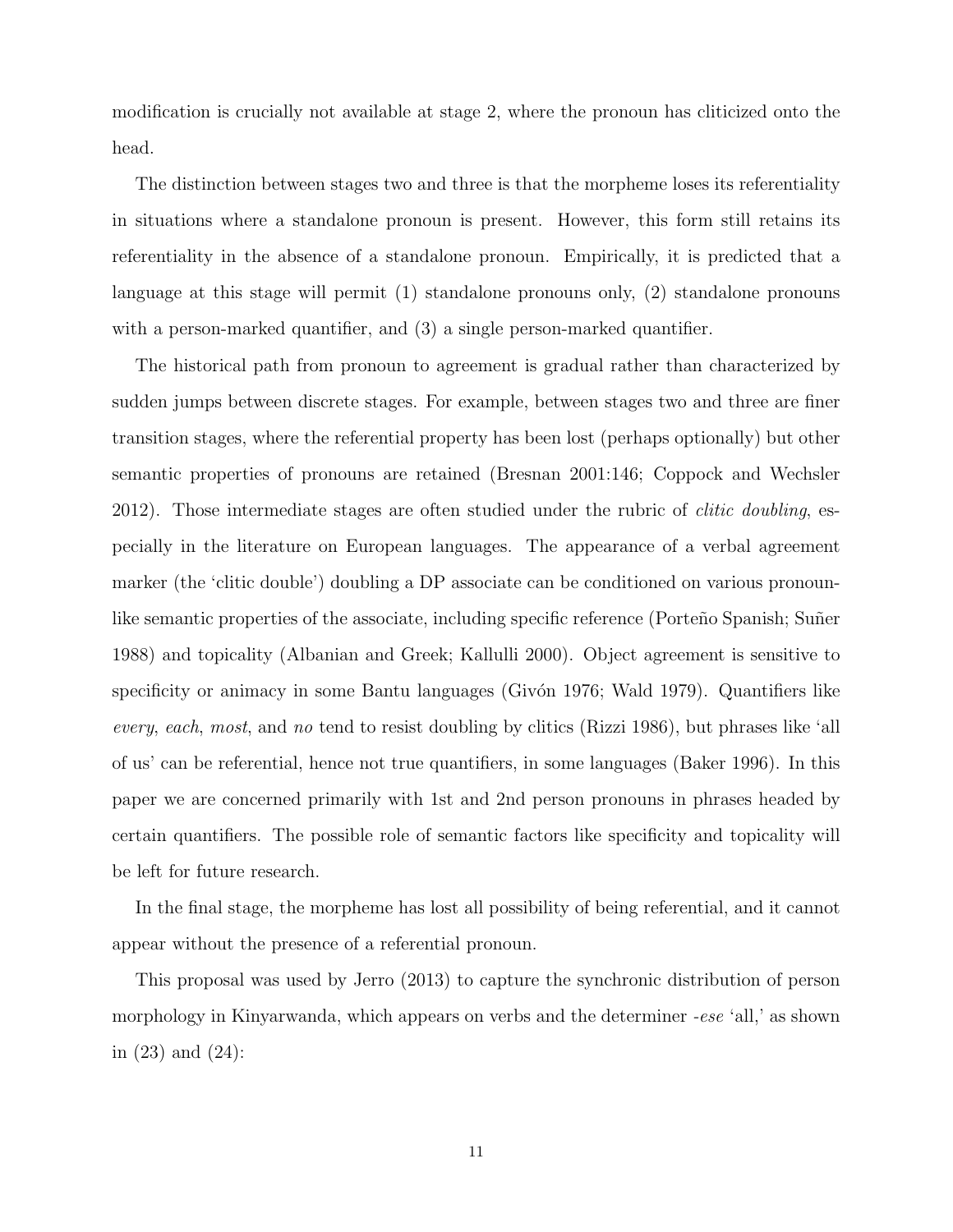modification is crucially not available at stage 2, where the pronoun has cliticized onto the head.

The distinction between stages two and three is that the morpheme loses its referentiality in situations where a standalone pronoun is present. However, this form still retains its referentiality in the absence of a standalone pronoun. Empirically, it is predicted that a language at this stage will permit (1) standalone pronouns only, (2) standalone pronouns with a person-marked quantifier, and  $(3)$  a single person-marked quantifier.

The historical path from pronoun to agreement is gradual rather than characterized by sudden jumps between discrete stages. For example, between stages two and three are finer transition stages, where the referential property has been lost (perhaps optionally) but other semantic properties of pronouns are retained (Bresnan 2001:146; Coppock and Wechsler 2012). Those intermediate stages are often studied under the rubric of clitic doubling, especially in the literature on European languages. The appearance of a verbal agreement marker (the 'clitic double') doubling a DP associate can be conditioned on various pronounlike semantic properties of the associate, including specific reference (Porteño Spanish; Suñer 1988) and topicality (Albanian and Greek; Kallulli 2000). Object agreement is sensitive to specificity or animacy in some Bantu languages (Givón 1976; Wald 1979). Quantifiers like every, each, most, and no tend to resist doubling by clitics (Rizzi 1986), but phrases like 'all of us' can be referential, hence not true quantifiers, in some languages (Baker 1996). In this paper we are concerned primarily with 1st and 2nd person pronouns in phrases headed by certain quantifiers. The possible role of semantic factors like specificity and topicality will be left for future research.

In the final stage, the morpheme has lost all possibility of being referential, and it cannot appear without the presence of a referential pronoun.

This proposal was used by Jerro (2013) to capture the synchronic distribution of person morphology in Kinyarwanda, which appears on verbs and the determiner -ese 'all,' as shown in (23) and (24):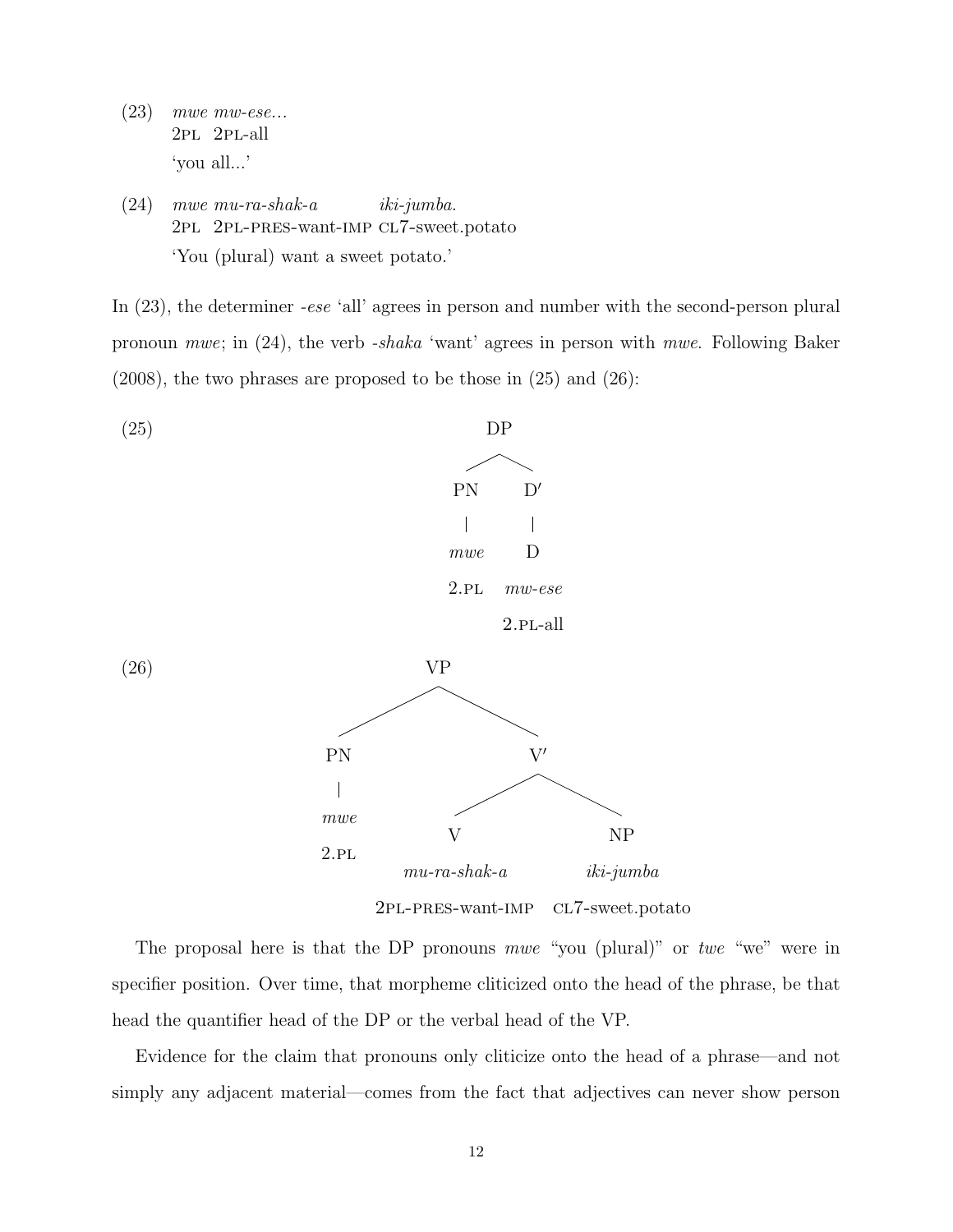- (23) mwe mw-ese... 2pl 2pl-all 'you all...'
- (24) mwe mu-ra-shak-a 2pl 2pl-pres-want-imp cl7-sweet.potato iki-jumba. 'You (plural) want a sweet potato.'

In (23), the determiner *-ese* 'all' agrees in person and number with the second-person plural pronoun mwe; in (24), the verb -shaka 'want' agrees in person with mwe. Following Baker (2008), the two phrases are proposed to be those in (25) and (26):



The proposal here is that the DP pronouns mwe "you (plural)" or twe "we" were in specifier position. Over time, that morpheme cliticized onto the head of the phrase, be that head the quantifier head of the DP or the verbal head of the VP.

Evidence for the claim that pronouns only cliticize onto the head of a phrase—and not simply any adjacent material—comes from the fact that adjectives can never show person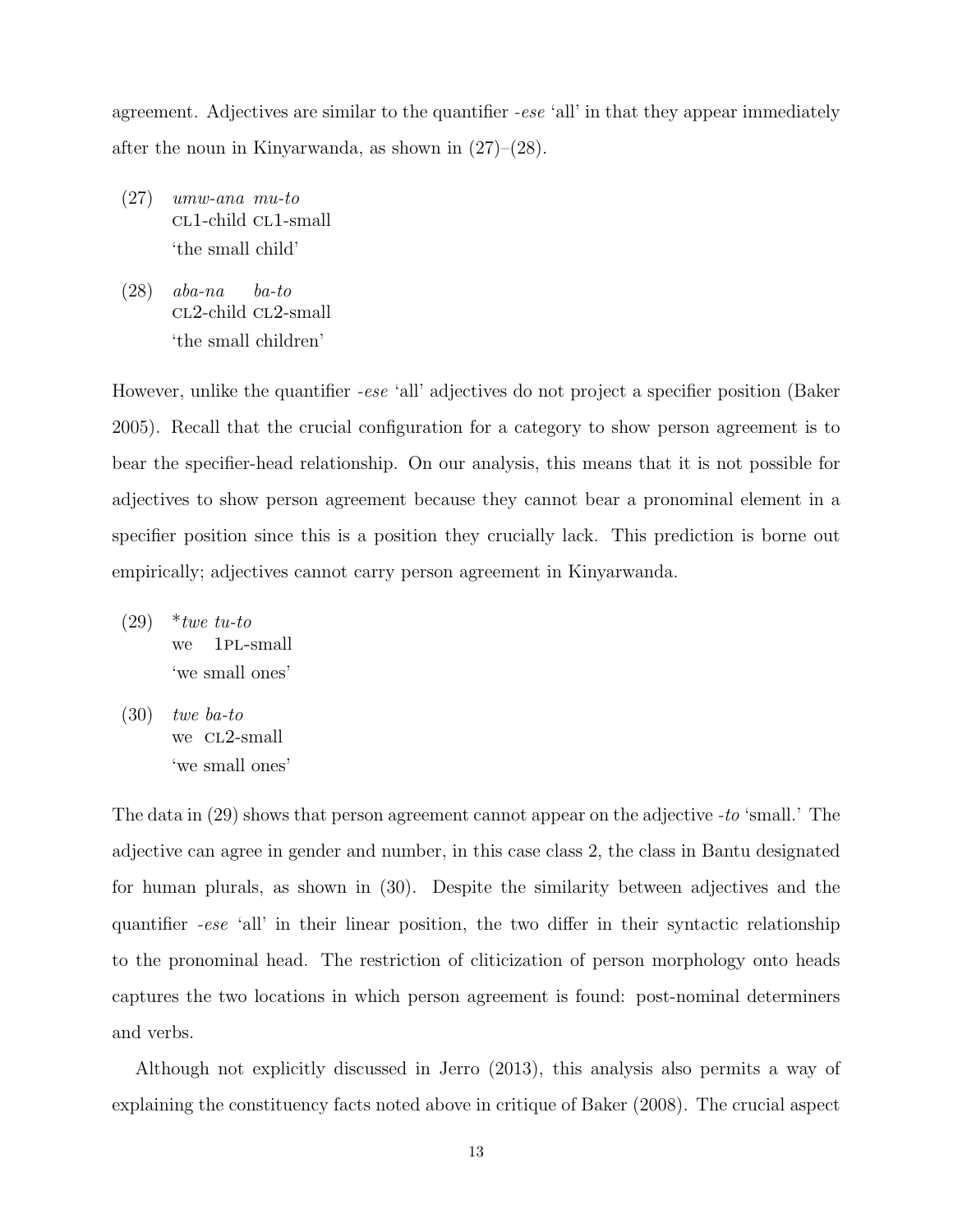agreement. Adjectives are similar to the quantifier -ese 'all' in that they appear immediately after the noun in Kinyarwanda, as shown in  $(27)$ – $(28)$ .

- (27) umw-ana mu-to cl1-child cl1-small 'the small child'
- (28) aba-na cL2-child cL2-small ba-to 'the small children'

However, unlike the quantifier *-ese* 'all' adjectives do not project a specifier position (Baker 2005). Recall that the crucial configuration for a category to show person agreement is to bear the specifier-head relationship. On our analysis, this means that it is not possible for adjectives to show person agreement because they cannot bear a pronominal element in a specifier position since this is a position they crucially lack. This prediction is borne out empirically; adjectives cannot carry person agreement in Kinyarwanda.

- $(29)$  \*twe tu-to we 1pl-small 'we small ones'
- (30) twe ba-to we CL2-small 'we small ones'

The data in (29) shows that person agreement cannot appear on the adjective -to 'small.' The adjective can agree in gender and number, in this case class 2, the class in Bantu designated for human plurals, as shown in (30). Despite the similarity between adjectives and the quantifier -ese 'all' in their linear position, the two differ in their syntactic relationship to the pronominal head. The restriction of cliticization of person morphology onto heads captures the two locations in which person agreement is found: post-nominal determiners and verbs.

Although not explicitly discussed in Jerro (2013), this analysis also permits a way of explaining the constituency facts noted above in critique of Baker (2008). The crucial aspect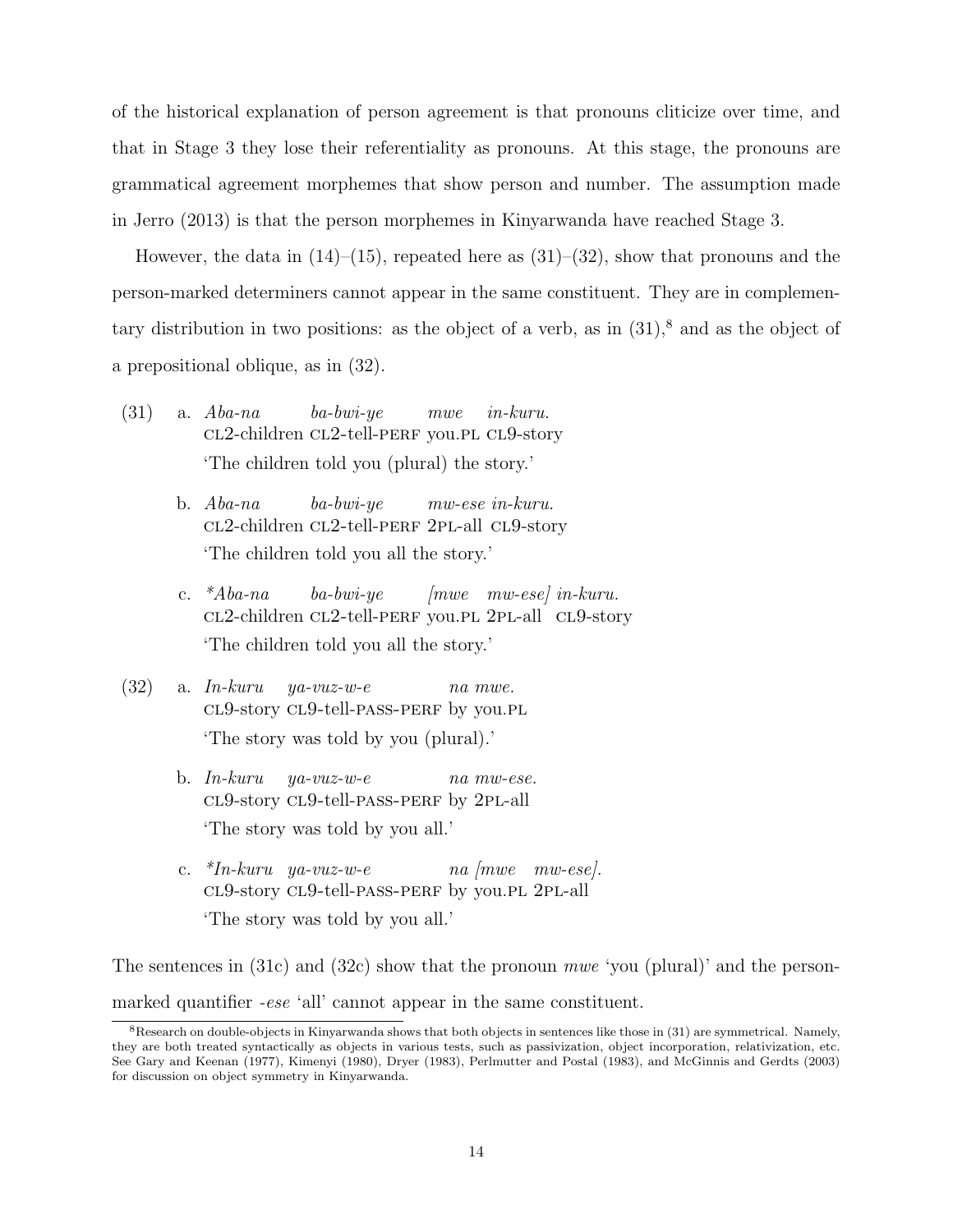of the historical explanation of person agreement is that pronouns cliticize over time, and that in Stage 3 they lose their referentiality as pronouns. At this stage, the pronouns are grammatical agreement morphemes that show person and number. The assumption made in Jerro (2013) is that the person morphemes in Kinyarwanda have reached Stage 3.

However, the data in  $(14)$ – $(15)$ , repeated here as  $(31)$ – $(32)$ , show that pronouns and the person-marked determiners cannot appear in the same constituent. They are in complementary distribution in two positions: as the object of a verb, as in  $(31)$ ,<sup>8</sup> and as the object of a prepositional oblique, as in (32).

- (31) a. Aba-na cl2-children cl2-tell-perf you.pl cl9-story ba-bwi-ye mwe in-kuru. 'The children told you (plural) the story.'
	- b. Aba-na cl2-children cl2-tell-perf 2pl-all cl9-story ba-bwi-ye mw-ese in-kuru. 'The children told you all the story.'
	- c.  $*Aba-na$ CL2-children CL2-tell-PERF you.PL 2PL-all CL9-story ba-bwi-ye [mwe mw-ese] in-kuru. 'The children told you all the story.'
- (32) a. In-kuru cl9-story cl9-tell-pass-perf by you.pl ya-vuz-w-e na mwe. 'The story was told by you (plural).'
	- b. In-kuru cl9-story cl9-tell-pass-perf by 2pl-all ya-vuz-w-e na mw-ese. 'The story was told by you all.'
	- c. \*In-kuru ya-vuz-w-e cl9-story cl9-tell-pass-perf by you.pl 2pl-all na [mwe mw-ese]. 'The story was told by you all.'

The sentences in (31c) and (32c) show that the pronoun mwe 'you (plural)' and the personmarked quantifier *-ese* 'all' cannot appear in the same constituent.

 $8R$ esearch on double-objects in Kinyarwanda shows that both objects in sentences like those in  $(31)$  are symmetrical. Namely, they are both treated syntactically as objects in various tests, such as passivization, object incorporation, relativization, etc. See Gary and Keenan (1977), Kimenyi (1980), Dryer (1983), Perlmutter and Postal (1983), and McGinnis and Gerdts (2003) for discussion on object symmetry in Kinyarwanda.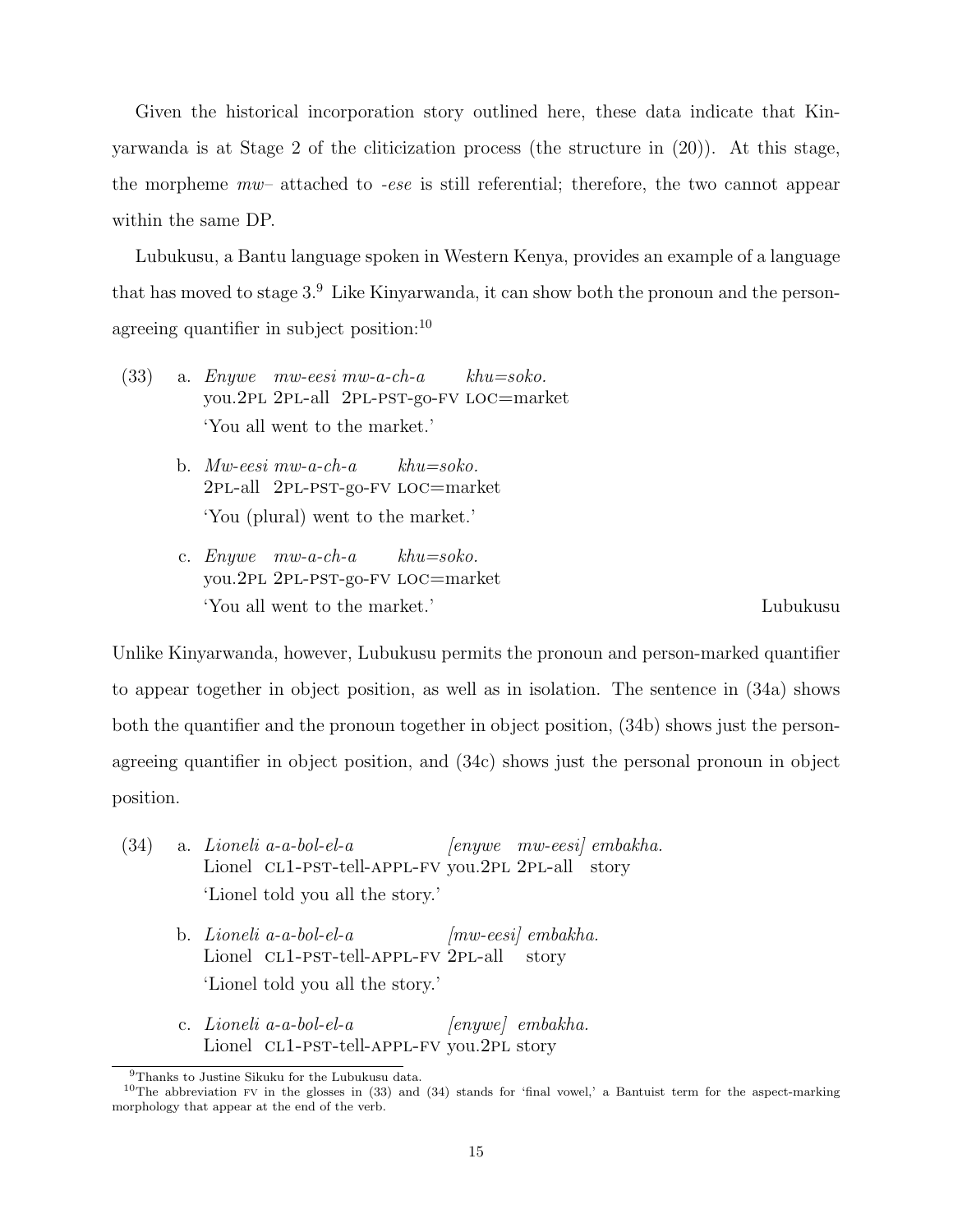Given the historical incorporation story outlined here, these data indicate that Kinyarwanda is at Stage 2 of the cliticization process (the structure in (20)). At this stage, the morpheme mw– attached to -ese is still referential; therefore, the two cannot appear within the same DP.

Lubukusu, a Bantu language spoken in Western Kenya, provides an example of a language that has moved to stage 3.<sup>9</sup> Like Kinyarwanda, it can show both the pronoun and the personagreeing quantifier in subject position: $10$ 

- (33) a. Enywe mw-eesi mw-a-ch-a you.2pl 2pl-all 2pl-pst-go-fv loc=market  $khu=soko$ . 'You all went to the market.'
	- b. Mw-eesi mw-a-ch-a 2pl-all 2pl-pst-go-fv loc=market  $khu=soko$ . 'You (plural) went to the market.'
	- c. Enywe mw-a-ch-a you.2pl 2pl-pst-go-fv loc=market  $khu=soko.$ 'You all went to the market.' Lubukusu

Unlike Kinyarwanda, however, Lubukusu permits the pronoun and person-marked quantifier to appear together in object position, as well as in isolation. The sentence in (34a) shows both the quantifier and the pronoun together in object position, (34b) shows just the personagreeing quantifier in object position, and (34c) shows just the personal pronoun in object position.

- (34) a. Lioneli a-a-bol-el-a Lionel CL1-PST-tell-APPL-FV you.2PL 2PL-all story [enywe mw-eesi] embakha. 'Lionel told you all the story.'
	- b. Lioneli a-a-bol-el-a Lionel CL1-PST-tell-APPL-FV 2PL-all [mw-eesi] embakha. story 'Lionel told you all the story.'
	- c. Lioneli a-a-bol-el-a Lionel CL1-PST-tell-APPL-FV you.2PL story [enywe] embakha.

<sup>9</sup>Thanks to Justine Sikuku for the Lubukusu data.

<sup>&</sup>lt;sup>10</sup>The abbreviation FV in the glosses in  $(33)$  and  $(34)$  stands for 'final vowel,' a Bantuist term for the aspect-marking morphology that appear at the end of the verb.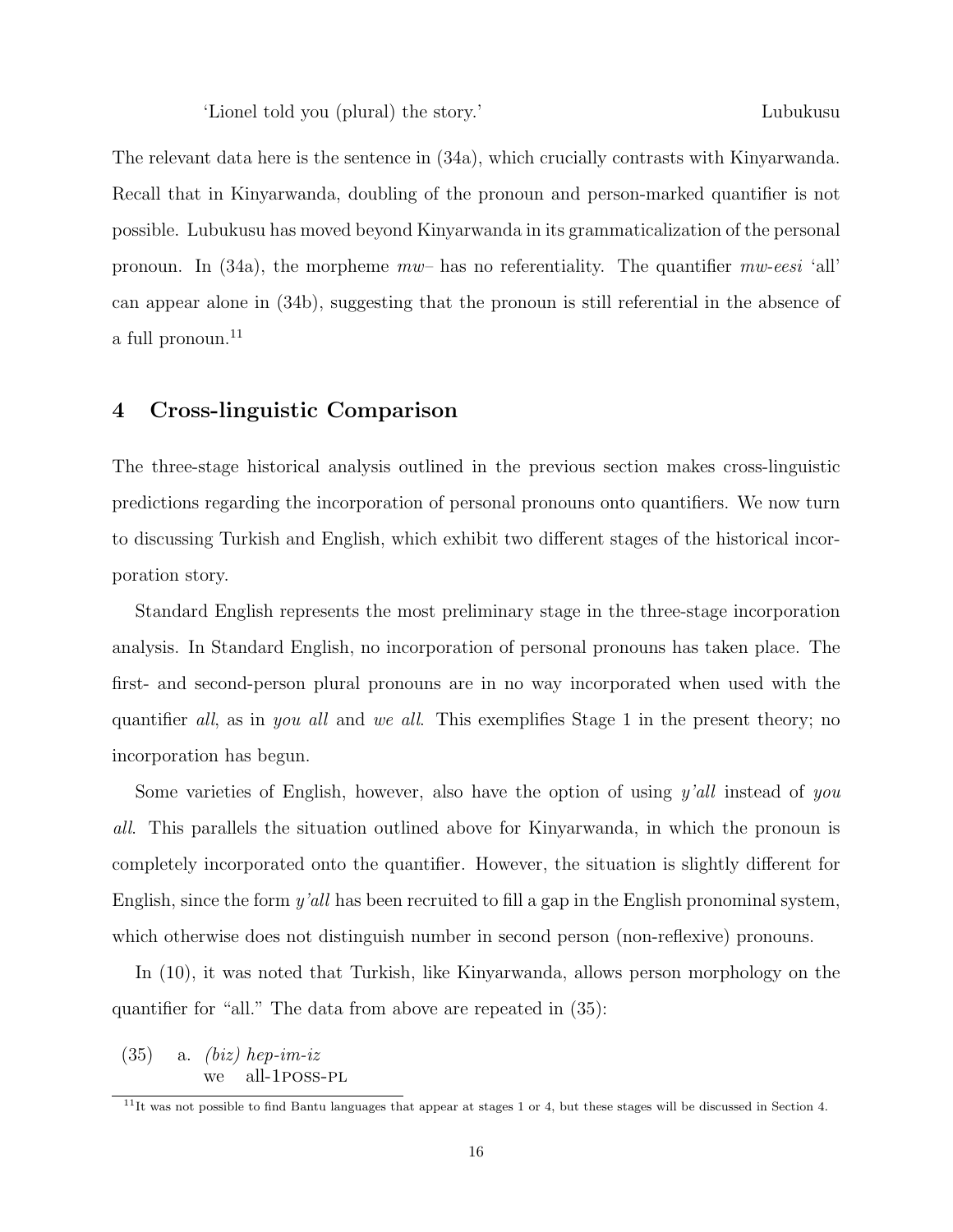'Lionel told you (plural) the story.' Lubukusu

The relevant data here is the sentence in (34a), which crucially contrasts with Kinyarwanda. Recall that in Kinyarwanda, doubling of the pronoun and person-marked quantifier is not possible. Lubukusu has moved beyond Kinyarwanda in its grammaticalization of the personal pronoun. In (34a), the morpheme  $mw$ - has no referentiality. The quantifier mw-eesi 'all' can appear alone in (34b), suggesting that the pronoun is still referential in the absence of a full pronoun.<sup>11</sup>

### 4 Cross-linguistic Comparison

The three-stage historical analysis outlined in the previous section makes cross-linguistic predictions regarding the incorporation of personal pronouns onto quantifiers. We now turn to discussing Turkish and English, which exhibit two different stages of the historical incorporation story.

Standard English represents the most preliminary stage in the three-stage incorporation analysis. In Standard English, no incorporation of personal pronouns has taken place. The first- and second-person plural pronouns are in no way incorporated when used with the quantifier all, as in you all and we all. This exemplifies Stage 1 in the present theory; no incorporation has begun.

Some varieties of English, however, also have the option of using  $y'all$  instead of you all. This parallels the situation outlined above for Kinyarwanda, in which the pronoun is completely incorporated onto the quantifier. However, the situation is slightly different for English, since the form y'all has been recruited to fill a gap in the English pronominal system, which otherwise does not distinguish number in second person (non-reflexive) pronouns.

In (10), it was noted that Turkish, like Kinyarwanda, allows person morphology on the quantifier for "all." The data from above are repeated in (35):

 $(35)$  a. *(biz)* hep-im-iz we all-1poss-pl

<sup>&</sup>lt;sup>11</sup>It was not possible to find Bantu languages that appear at stages 1 or 4, but these stages will be discussed in Section 4.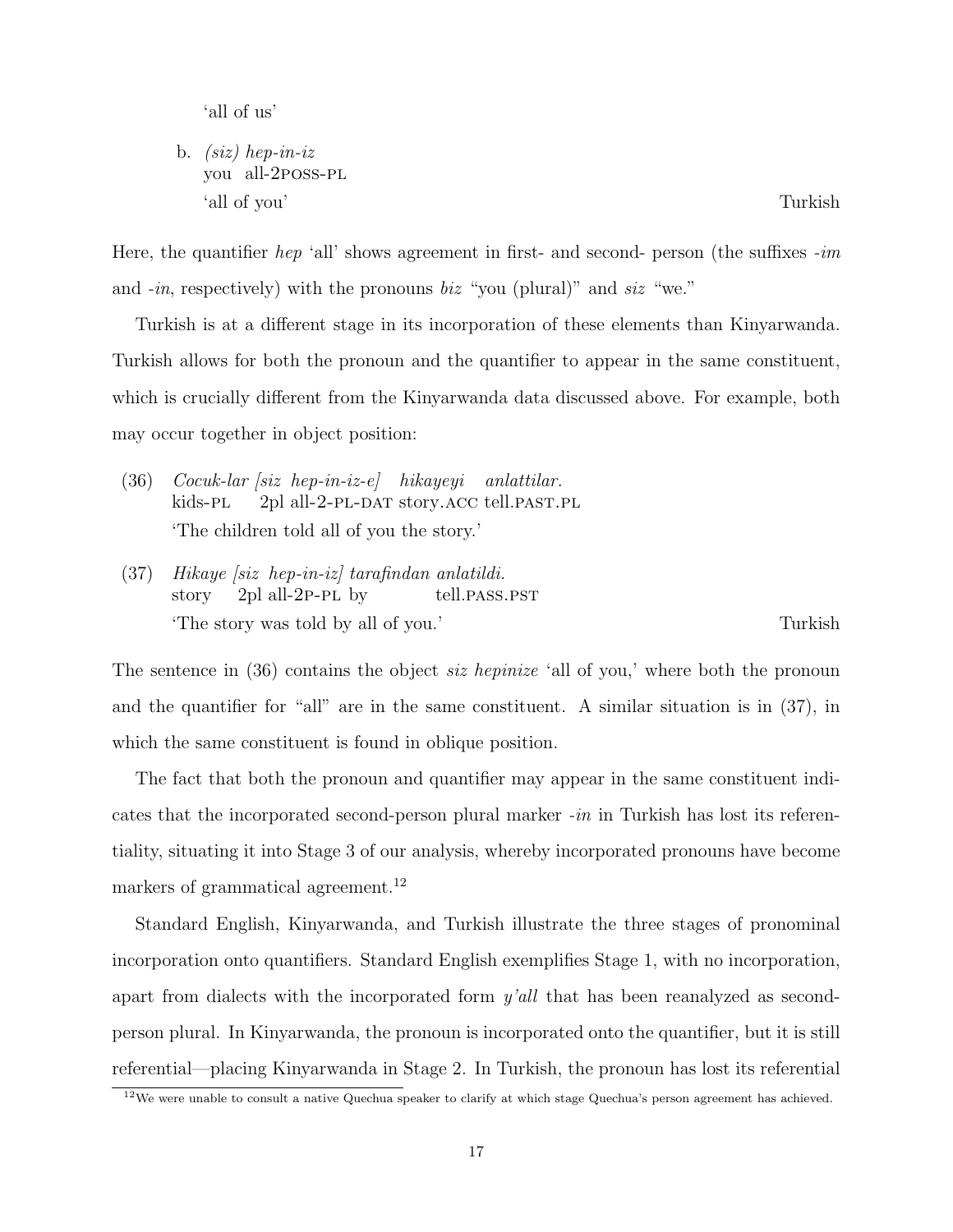'all of us'

b. (siz) hep-in-iz you all-2poss-pl 'all of you' Turkish

Here, the quantifier hep 'all' shows agreement in first- and second- person (the suffixes  $-im$ and  $-in$ , respectively) with the pronouns biz "you (plural)" and siz "we."

Turkish is at a different stage in its incorporation of these elements than Kinyarwanda. Turkish allows for both the pronoun and the quantifier to appear in the same constituent, which is crucially different from the Kinyarwanda data discussed above. For example, both may occur together in object position:

- (36) Cocuk-lar [siz hep-in-iz-e] hikayeyi anlattilar. kids-pl 2pl all-2-pl-dat story.acc tell.past.pl 'The children told all of you the story.'
- (37) Hikaye [siz hep-in-iz] tarafindan anlatildi. story 2pl all-2p-pl by tell.pass.pst 'The story was told by all of you.' Turkish

The sentence in (36) contains the object *siz hepinize* 'all of you,' where both the pronoun and the quantifier for "all" are in the same constituent. A similar situation is in (37), in which the same constituent is found in oblique position.

The fact that both the pronoun and quantifier may appear in the same constituent indicates that the incorporated second-person plural marker -in in Turkish has lost its referentiality, situating it into Stage 3 of our analysis, whereby incorporated pronouns have become markers of grammatical agreement.<sup>12</sup>

Standard English, Kinyarwanda, and Turkish illustrate the three stages of pronominal incorporation onto quantifiers. Standard English exemplifies Stage 1, with no incorporation, apart from dialects with the incorporated form y'all that has been reanalyzed as secondperson plural. In Kinyarwanda, the pronoun is incorporated onto the quantifier, but it is still referential—placing Kinyarwanda in Stage 2. In Turkish, the pronoun has lost its referential

 $12\%$  were unable to consult a native Quechua speaker to clarify at which stage Quechua's person agreement has achieved.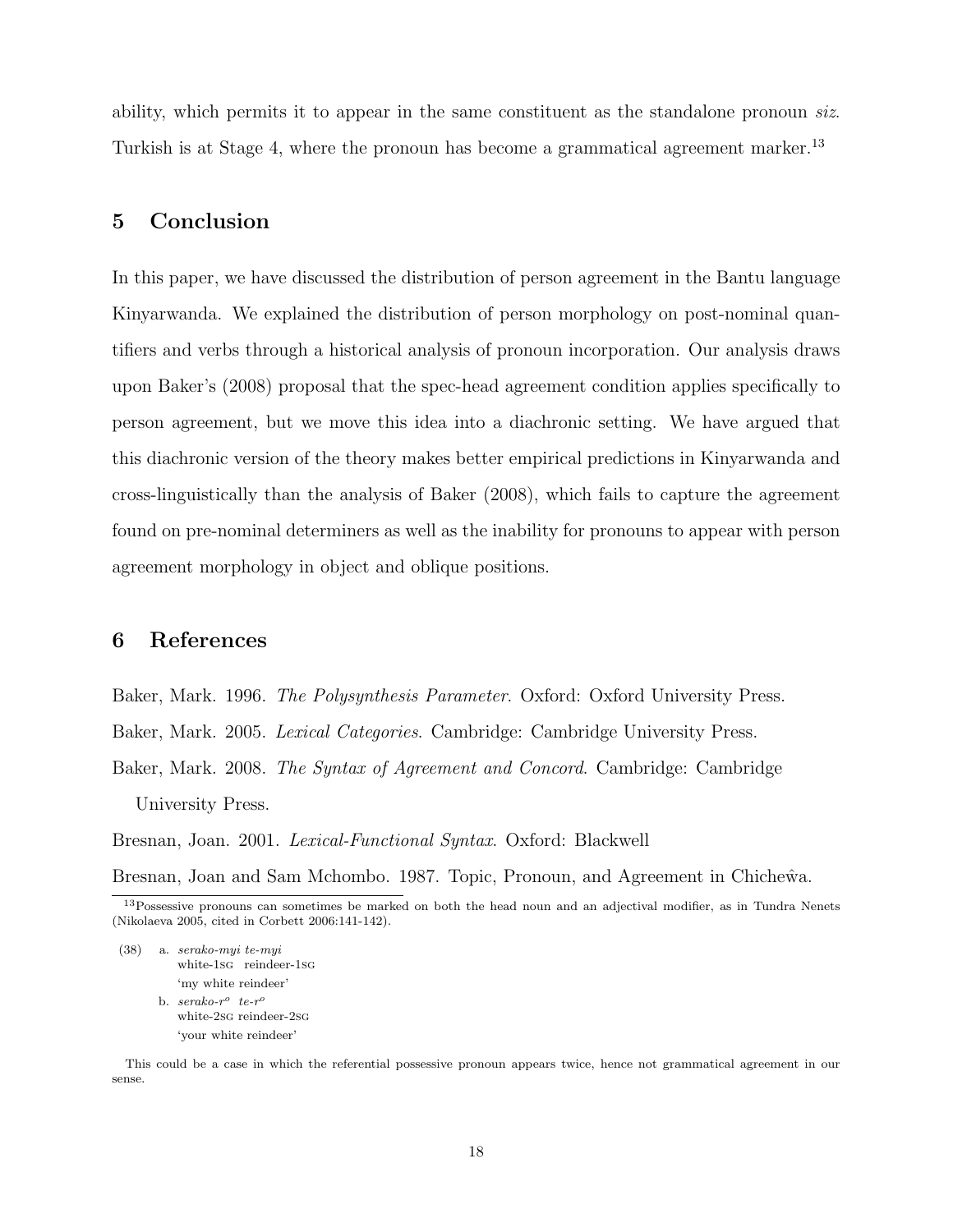ability, which permits it to appear in the same constituent as the standalone pronoun siz. Turkish is at Stage 4, where the pronoun has become a grammatical agreement marker.<sup>13</sup>

### 5 Conclusion

In this paper, we have discussed the distribution of person agreement in the Bantu language Kinyarwanda. We explained the distribution of person morphology on post-nominal quantifiers and verbs through a historical analysis of pronoun incorporation. Our analysis draws upon Baker's (2008) proposal that the spec-head agreement condition applies specifically to person agreement, but we move this idea into a diachronic setting. We have argued that this diachronic version of the theory makes better empirical predictions in Kinyarwanda and cross-linguistically than the analysis of Baker (2008), which fails to capture the agreement found on pre-nominal determiners as well as the inability for pronouns to appear with person agreement morphology in object and oblique positions.

### 6 References

Baker, Mark. 1996. The Polysynthesis Parameter. Oxford: Oxford University Press. Baker, Mark. 2005. Lexical Categories. Cambridge: Cambridge University Press. Baker, Mark. 2008. The Syntax of Agreement and Concord. Cambridge: Cambridge University Press.

Bresnan, Joan. 2001. Lexical-Functional Syntax. Oxford: Blackwell Bresnan, Joan and Sam Mchombo. 1987. Topic, Pronoun, and Agreement in Chiche $\hat{w}$ a.

- (38) a. serako-myi te-myi white-1sg reindeer-1sg 'my white reindeer' b.  $serako-r^o$  te- $r^o$ 
	- white-2sg reindeer-2sg 'your white reindeer'

This could be a case in which the referential possessive pronoun appears twice, hence not grammatical agreement in our sense.

<sup>13</sup>Possessive pronouns can sometimes be marked on both the head noun and an adjectival modifier, as in Tundra Nenets (Nikolaeva 2005, cited in Corbett 2006:141-142).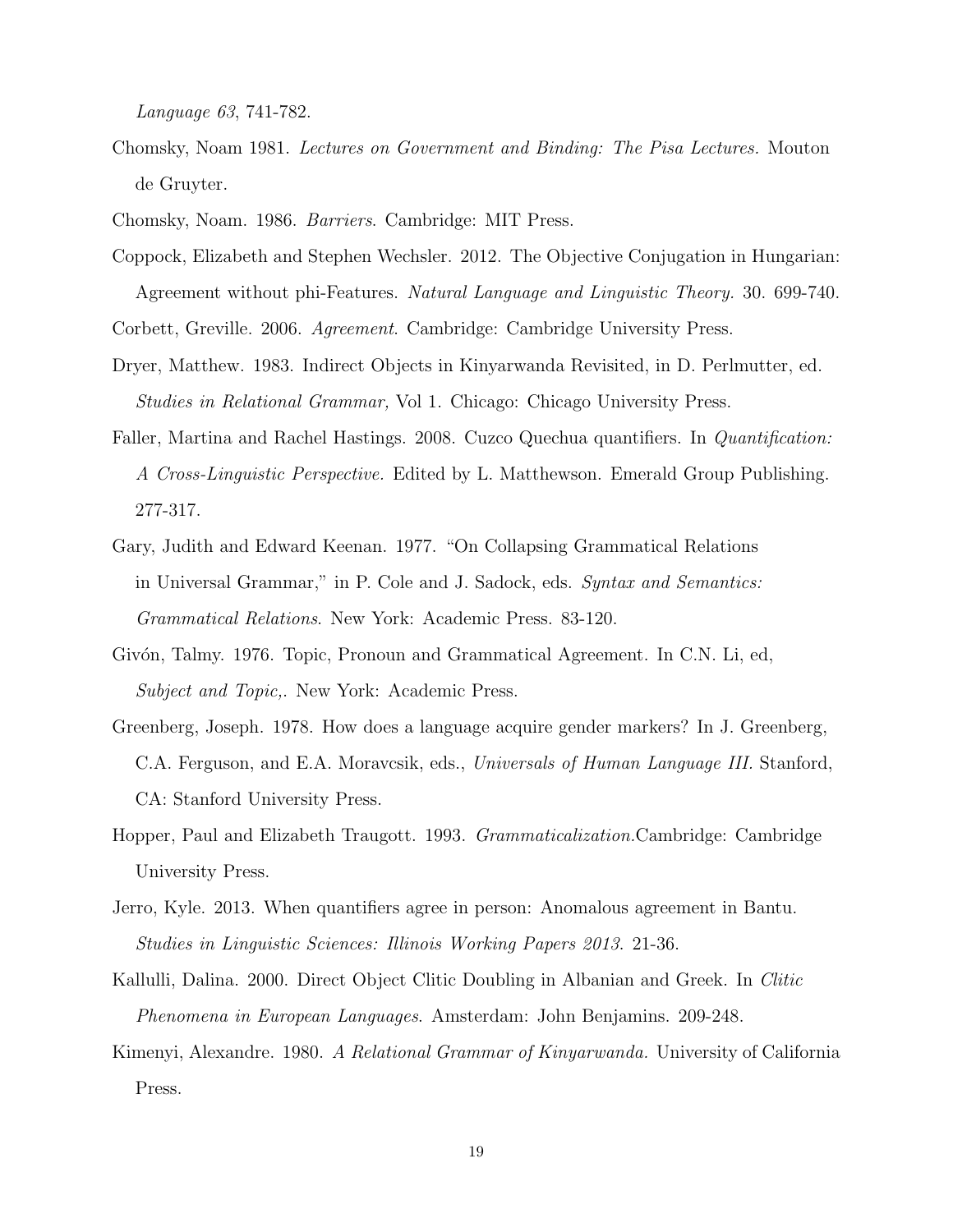Language 63, 741-782.

Chomsky, Noam 1981. Lectures on Government and Binding: The Pisa Lectures. Mouton de Gruyter.

Chomsky, Noam. 1986. Barriers. Cambridge: MIT Press.

Coppock, Elizabeth and Stephen Wechsler. 2012. The Objective Conjugation in Hungarian: Agreement without phi-Features. Natural Language and Linguistic Theory. 30. 699-740.

Corbett, Greville. 2006. Agreement. Cambridge: Cambridge University Press.

- Dryer, Matthew. 1983. Indirect Objects in Kinyarwanda Revisited, in D. Perlmutter, ed. Studies in Relational Grammar, Vol 1. Chicago: Chicago University Press.
- Faller, Martina and Rachel Hastings. 2008. Cuzco Quechua quantifiers. In Quantification: A Cross-Linguistic Perspective. Edited by L. Matthewson. Emerald Group Publishing. 277-317.
- Gary, Judith and Edward Keenan. 1977. "On Collapsing Grammatical Relations in Universal Grammar," in P. Cole and J. Sadock, eds. Syntax and Semantics: Grammatical Relations. New York: Academic Press. 83-120.
- Givón, Talmy. 1976. Topic, Pronoun and Grammatical Agreement. In C.N. Li, ed, Subject and Topic,. New York: Academic Press.
- Greenberg, Joseph. 1978. How does a language acquire gender markers? In J. Greenberg, C.A. Ferguson, and E.A. Moravcsik, eds., Universals of Human Language III. Stanford, CA: Stanford University Press.
- Hopper, Paul and Elizabeth Traugott. 1993. Grammaticalization.Cambridge: Cambridge University Press.
- Jerro, Kyle. 2013. When quantifiers agree in person: Anomalous agreement in Bantu. Studies in Linguistic Sciences: Illinois Working Papers 2013. 21-36.
- Kallulli, Dalina. 2000. Direct Object Clitic Doubling in Albanian and Greek. In Clitic Phenomena in European Languages. Amsterdam: John Benjamins. 209-248.
- Kimenyi, Alexandre. 1980. A Relational Grammar of Kinyarwanda. University of California Press.